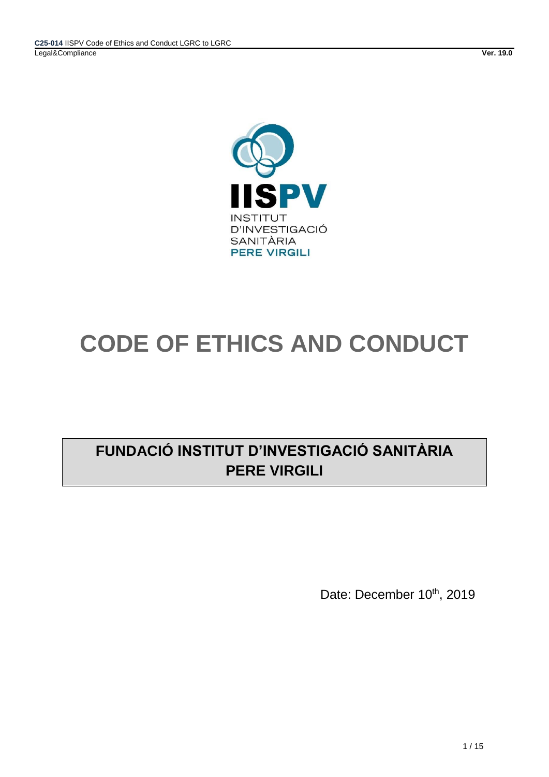

# **CODE OF ETHICS AND CONDUCT**

# **FUNDACIÓ INSTITUT D'INVESTIGACIÓ SANITÀRIA PERE VIRGILI**

Date: December 10<sup>th</sup>, 2019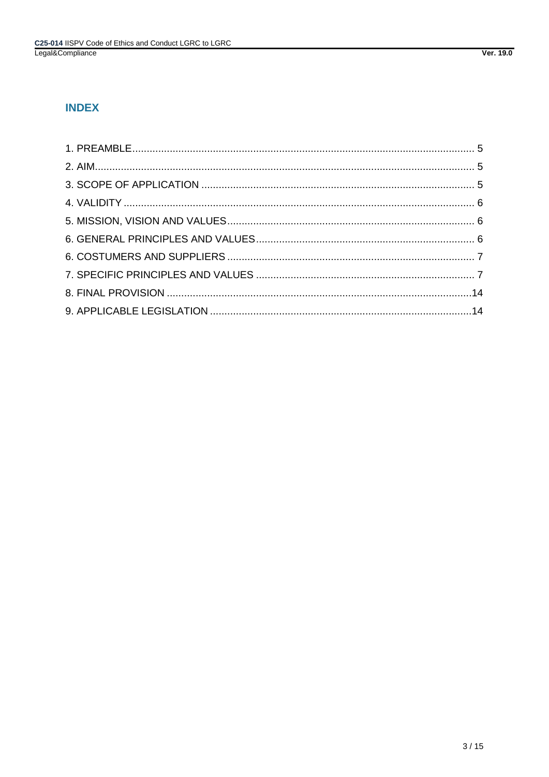# **INDEX**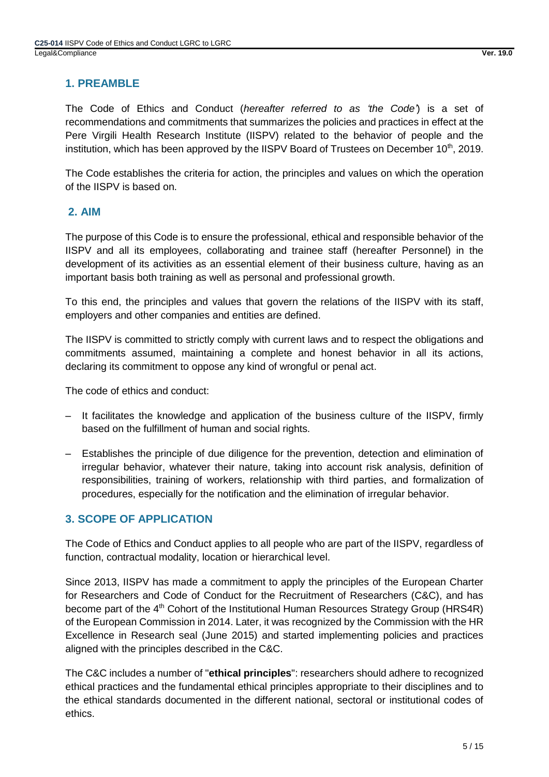# <span id="page-4-0"></span>**1. PREAMBLE**

The Code of Ethics and Conduct (*hereafter referred to as 'the Code'*) is a set of recommendations and commitments that summarizes the policies and practices in effect at the Pere Virgili Health Research Institute (IISPV) related to the behavior of people and the institution, which has been approved by the IISPV Board of Trustees on December 10<sup>th</sup>, 2019.

The Code establishes the criteria for action, the principles and values on which the operation of the IISPV is based on.

# <span id="page-4-1"></span>**2. AIM**

The purpose of this Code is to ensure the professional, ethical and responsible behavior of the IISPV and all its employees, collaborating and trainee staff (hereafter Personnel) in the development of its activities as an essential element of their business culture, having as an important basis both training as well as personal and professional growth.

To this end, the principles and values that govern the relations of the IISPV with its staff, employers and other companies and entities are defined.

The IISPV is committed to strictly comply with current laws and to respect the obligations and commitments assumed, maintaining a complete and honest behavior in all its actions, declaring its commitment to oppose any kind of wrongful or penal act.

The code of ethics and conduct:

- ‒ It facilitates the knowledge and application of the business culture of the IISPV, firmly based on the fulfillment of human and social rights.
- ‒ Establishes the principle of due diligence for the prevention, detection and elimination of irregular behavior, whatever their nature, taking into account risk analysis, definition of responsibilities, training of workers, relationship with third parties, and formalization of procedures, especially for the notification and the elimination of irregular behavior.

# <span id="page-4-2"></span>**3. SCOPE OF APPLICATION**

The Code of Ethics and Conduct applies to all people who are part of the IISPV, regardless of function, contractual modality, location or hierarchical level.

Since 2013, IISPV has made a commitment to apply the principles of the European Charter for Researchers and Code of Conduct for the Recruitment of Researchers (C&C), and has become part of the 4<sup>th</sup> Cohort of the Institutional Human Resources Strategy Group (HRS4R) of the European Commission in 2014. Later, it was recognized by the Commission with the HR Excellence in Research seal (June 2015) and started implementing policies and practices aligned with the principles described in the C&C.

The C&C includes a number of "**ethical principles**": researchers should adhere to recognized ethical practices and the fundamental ethical principles appropriate to their disciplines and to the ethical standards documented in the different national, sectoral or institutional codes of ethics.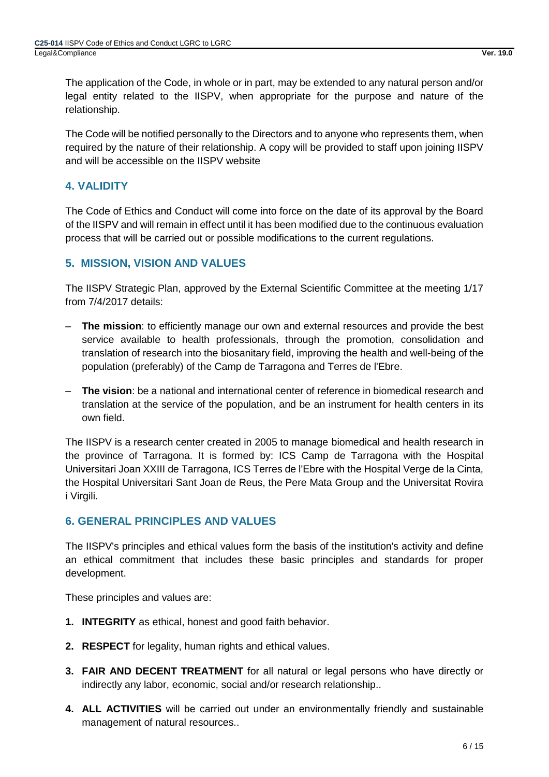The application of the Code, in whole or in part, may be extended to any natural person and/or legal entity related to the IISPV, when appropriate for the purpose and nature of the relationship.

The Code will be notified personally to the Directors and to anyone who represents them, when required by the nature of their relationship. A copy will be provided to staff upon joining IISPV and will be accessible on the IISPV website

# <span id="page-5-0"></span>**4. VALIDITY**

The Code of Ethics and Conduct will come into force on the date of its approval by the Board of the IISPV and will remain in effect until it has been modified due to the continuous evaluation process that will be carried out or possible modifications to the current regulations.

# <span id="page-5-1"></span>**5. MISSION, VISION AND VALUES**

The IISPV Strategic Plan, approved by the External Scientific Committee at the meeting 1/17 from 7/4/2017 details:

- ‒ **The mission**: to efficiently manage our own and external resources and provide the best service available to health professionals, through the promotion, consolidation and translation of research into the biosanitary field, improving the health and well-being of the population (preferably) of the Camp de Tarragona and Terres de l'Ebre.
- ‒ **The vision**: be a national and international center of reference in biomedical research and translation at the service of the population, and be an instrument for health centers in its own field.

The IISPV is a research center created in 2005 to manage biomedical and health research in the province of Tarragona. It is formed by: ICS Camp de Tarragona with the Hospital Universitari Joan XXIII de Tarragona, ICS Terres de l'Ebre with the Hospital Verge de la Cinta, the Hospital Universitari Sant Joan de Reus, the Pere Mata Group and the Universitat Rovira i Virgili.

# <span id="page-5-2"></span>**6. GENERAL PRINCIPLES AND VALUES**

The IISPV's principles and ethical values form the basis of the institution's activity and define an ethical commitment that includes these basic principles and standards for proper development.

These principles and values are:

- **1. INTEGRITY** as ethical, honest and good faith behavior.
- **2. RESPECT** for legality, human rights and ethical values.
- **3. FAIR AND DECENT TREATMENT** for all natural or legal persons who have directly or indirectly any labor, economic, social and/or research relationship..
- **4. ALL ACTIVITIES** will be carried out under an environmentally friendly and sustainable management of natural resources..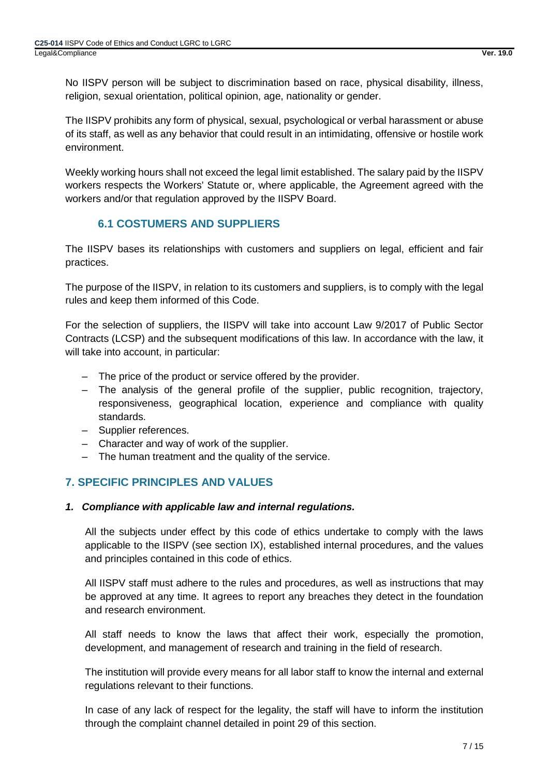No IISPV person will be subject to discrimination based on race, physical disability, illness, religion, sexual orientation, political opinion, age, nationality or gender.

The IISPV prohibits any form of physical, sexual, psychological or verbal harassment or abuse of its staff, as well as any behavior that could result in an intimidating, offensive or hostile work environment.

Weekly working hours shall not exceed the legal limit established. The salary paid by the IISPV workers respects the Workers' Statute or, where applicable, the Agreement agreed with the workers and/or that regulation approved by the IISPV Board.

# **6.1 COSTUMERS AND SUPPLIERS**

<span id="page-6-0"></span>The IISPV bases its relationships with customers and suppliers on legal, efficient and fair practices.

The purpose of the IISPV, in relation to its customers and suppliers, is to comply with the legal rules and keep them informed of this Code.

For the selection of suppliers, the IISPV will take into account Law 9/2017 of Public Sector Contracts (LCSP) and the subsequent modifications of this law. In accordance with the law, it will take into account, in particular:

- ‒ The price of the product or service offered by the provider.
- ‒ The analysis of the general profile of the supplier, public recognition, trajectory, responsiveness, geographical location, experience and compliance with quality standards.
- ‒ Supplier references.
- ‒ Character and way of work of the supplier.
- ‒ The human treatment and the quality of the service.

# <span id="page-6-1"></span>**7. SPECIFIC PRINCIPLES AND VALUES**

# *1. Compliance with applicable law and internal regulations.*

All the subjects under effect by this code of ethics undertake to comply with the laws applicable to the IISPV (see section IX), established internal procedures, and the values and principles contained in this code of ethics.

All IISPV staff must adhere to the rules and procedures, as well as instructions that may be approved at any time. It agrees to report any breaches they detect in the foundation and research environment.

All staff needs to know the laws that affect their work, especially the promotion, development, and management of research and training in the field of research.

The institution will provide every means for all labor staff to know the internal and external regulations relevant to their functions.

In case of any lack of respect for the legality, the staff will have to inform the institution through the complaint channel detailed in point 29 of this section.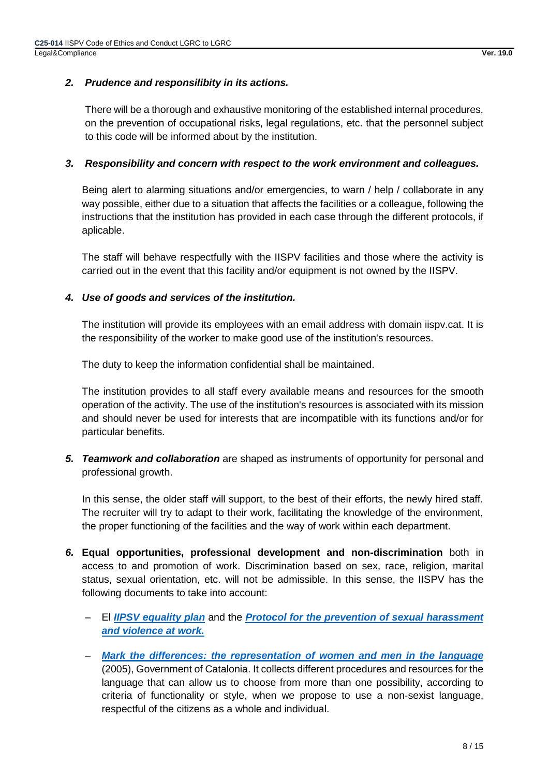# *2. Prudence and responsilibity in its actions.*

There will be a thorough and exhaustive monitoring of the established internal procedures, on the prevention of occupational risks, legal regulations, etc. that the personnel subject to this code will be informed about by the institution.

# *3. Responsibility and concern with respect to the work environment and colleagues.*

Being alert to alarming situations and/or emergencies, to warn / help / collaborate in any way possible, either due to a situation that affects the facilities or a colleague, following the instructions that the institution has provided in each case through the different protocols, if aplicable.

The staff will behave respectfully with the IISPV facilities and those where the activity is carried out in the event that this facility and/or equipment is not owned by the IISPV.

# *4. Use of goods and services of the institution.*

The institution will provide its employees with an email address with domain iispv.cat. It is the responsibility of the worker to make good use of the institution's resources.

The duty to keep the information confidential shall be maintained.

The institution provides to all staff every available means and resources for the smooth operation of the activity. The use of the institution's resources is associated with its mission and should never be used for interests that are incompatible with its functions and/or for particular benefits.

*5. Teamwork and collaboration* are shaped as instruments of opportunity for personal and professional growth.

In this sense, the older staff will support, to the best of their efforts, the newly hired staff. The recruiter will try to adapt to their work, facilitating the knowledge of the environment, the proper functioning of the facilities and the way of work within each department.

- *6.* **Equal opportunities, professional development and non-discrimination** both in access to and promotion of work. Discrimination based on sex, race, religion, marital status, sexual orientation, etc. will not be admissible. In this sense, the IISPV has the following documents to take into account:
	- ‒ El *[IIPSV equality plan](http://www.iispv.cat/media/upload/arxius/Avaluacio_CERCA/10_Equal%20Plan.pdf)* and the *[Protocol for the prevention of sexual harassment](http://www.iispv.cat/media/upload/arxius/RRHH/Preventing%20and%20combatting%20workplace_IISPV.pdf)  [and violence at work.](http://www.iispv.cat/media/upload/arxius/RRHH/Preventing%20and%20combatting%20workplace_IISPV.pdf)*
	- ‒ *[Mark the differences: the representation of women and men in the language](http://llengua.gencat.cat/web/.content/documents/publicacions/altres/arxius/marcar.pdf)* (2005), Government of Catalonia. It collects different procedures and resources for the language that can allow us to choose from more than one possibility, according to criteria of functionality or style, when we propose to use a non-sexist language, respectful of the citizens as a whole and individual.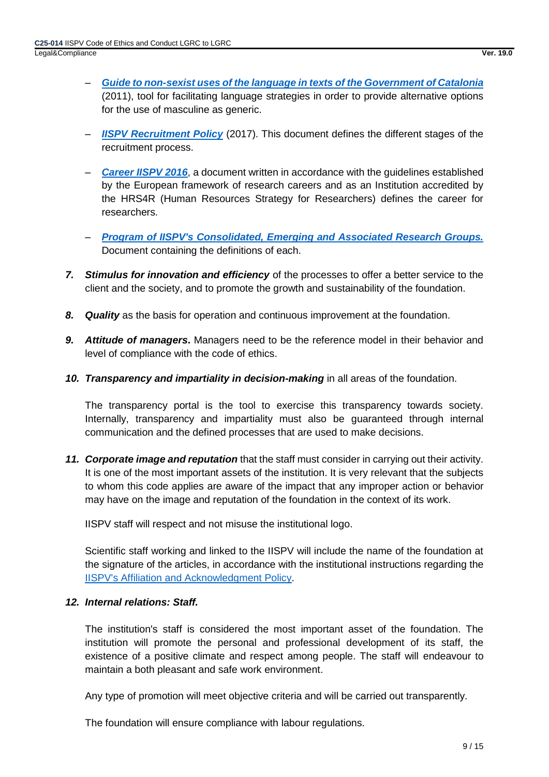- ‒ *[Guide to non-sexist uses of the language in texts of the Government of Catalonia](http://llengua.gencat.cat/web/.content/documents/publicacions/altres/arxius/acord_us_no_sexista_llengua.pdf)* (2011), tool for facilitating language strategies in order to provide alternative options for the use of masculine as generic.
- ‒ *[IISPV Recruitment Policy](http://www.iispv.cat/media/upload/arxius/RRHH/9_Recruitment%20Policy.pdf)* (2017). This document defines the different stages of the recruitment process.
- *[Career IISPV 2016](http://www.iispv.cat/media/upload/arxius/Avaluacio_CERCA/7_Research%20career.pdf)*, a document written in accordance with the guidelines established by the European framework of research careers and as an Institution accredited by the HRS4R (Human Resources Strategy for Researchers) defines the career for researchers.
- ‒ *[Program of IISPV's Consolidated, Emerging and Associated Research Groups.](http://www.iispv.cat/media/upload/arxius/Avaluacio_CERCA/13_Programa%20grups.pdf)* Document containing the definitions of each.
- *7. Stimulus for innovation and efficiency* of the processes to offer a better service to the client and the society, and to promote the growth and sustainability of the foundation.
- *8. Quality* as the basis for operation and continuous improvement at the foundation.
- *9. Attitude of managers***.** Managers need to be the reference model in their behavior and level of compliance with the code of ethics.
- *10. Transparency and impartiality in decision-making* in all areas of the foundation.

The transparency portal is the tool to exercise this transparency towards society. Internally, transparency and impartiality must also be guaranteed through internal communication and the defined processes that are used to make decisions.

*11. Corporate image and reputation* that the staff must consider in carrying out their activity. It is one of the most important assets of the institution. It is very relevant that the subjects to whom this code applies are aware of the impact that any improper action or behavior may have on the image and reputation of the foundation in the context of its work.

IISPV staff will respect and not misuse the institutional logo.

Scientific staff working and linked to the IISPV will include the name of the foundation at the signature of the articles, in accordance with the institutional instructions regarding the [IISPV's Affiliation and Acknowledgment Policy.](http://www.iispv.cat/media/upload/arxius/gestio_de_qualitat/Politica_filiacio_agraiments_IISPV_Marc2018.pdf)

# *12. Internal relations: Staff.*

The institution's staff is considered the most important asset of the foundation. The institution will promote the personal and professional development of its staff, the existence of a positive climate and respect among people. The staff will endeavour to maintain a both pleasant and safe work environment.

Any type of promotion will meet objective criteria and will be carried out transparently.

The foundation will ensure compliance with labour regulations.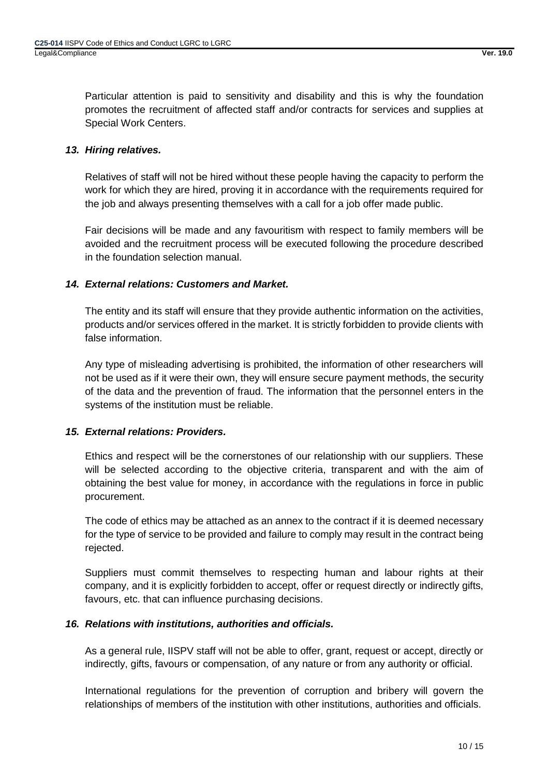Particular attention is paid to sensitivity and disability and this is why the foundation promotes the recruitment of affected staff and/or contracts for services and supplies at Special Work Centers.

# *13. Hiring relatives.*

Relatives of staff will not be hired without these people having the capacity to perform the work for which they are hired, proving it in accordance with the requirements required for the job and always presenting themselves with a call for a job offer made public.

Fair decisions will be made and any favouritism with respect to family members will be avoided and the recruitment process will be executed following the procedure described in the foundation selection manual.

# *14. External relations: Customers and Market.*

The entity and its staff will ensure that they provide authentic information on the activities, products and/or services offered in the market. It is strictly forbidden to provide clients with false information.

Any type of misleading advertising is prohibited, the information of other researchers will not be used as if it were their own, they will ensure secure payment methods, the security of the data and the prevention of fraud. The information that the personnel enters in the systems of the institution must be reliable.

# *15. External relations: Providers.*

Ethics and respect will be the cornerstones of our relationship with our suppliers. These will be selected according to the objective criteria, transparent and with the aim of obtaining the best value for money, in accordance with the regulations in force in public procurement.

The code of ethics may be attached as an annex to the contract if it is deemed necessary for the type of service to be provided and failure to comply may result in the contract being rejected.

Suppliers must commit themselves to respecting human and labour rights at their company, and it is explicitly forbidden to accept, offer or request directly or indirectly gifts, favours, etc. that can influence purchasing decisions.

#### *16. Relations with institutions, authorities and officials.*

As a general rule, IISPV staff will not be able to offer, grant, request or accept, directly or indirectly, gifts, favours or compensation, of any nature or from any authority or official.

International regulations for the prevention of corruption and bribery will govern the relationships of members of the institution with other institutions, authorities and officials.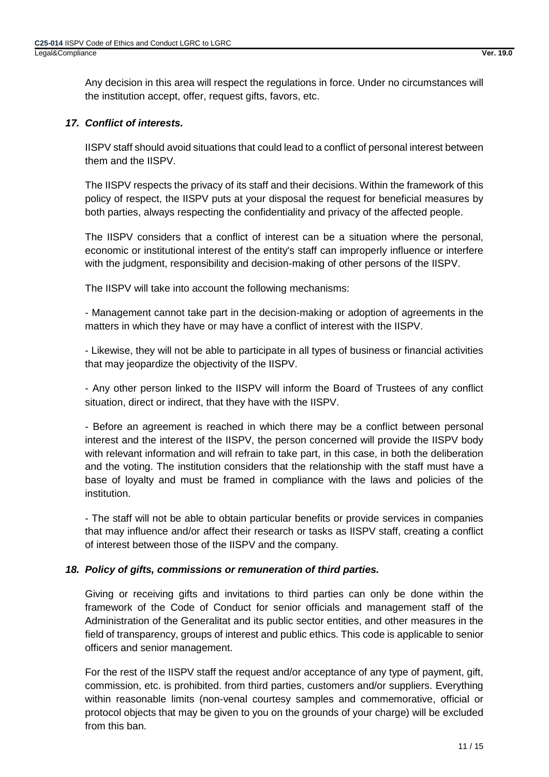Any decision in this area will respect the regulations in force. Under no circumstances will the institution accept, offer, request gifts, favors, etc.

# *17. Conflict of interests.*

IISPV staff should avoid situations that could lead to a conflict of personal interest between them and the IISPV.

The IISPV respects the privacy of its staff and their decisions. Within the framework of this policy of respect, the IISPV puts at your disposal the request for beneficial measures by both parties, always respecting the confidentiality and privacy of the affected people.

The IISPV considers that a conflict of interest can be a situation where the personal, economic or institutional interest of the entity's staff can improperly influence or interfere with the judgment, responsibility and decision-making of other persons of the IISPV.

The IISPV will take into account the following mechanisms:

- Management cannot take part in the decision-making or adoption of agreements in the matters in which they have or may have a conflict of interest with the IISPV.

- Likewise, they will not be able to participate in all types of business or financial activities that may jeopardize the objectivity of the IISPV.

- Any other person linked to the IISPV will inform the Board of Trustees of any conflict situation, direct or indirect, that they have with the IISPV.

- Before an agreement is reached in which there may be a conflict between personal interest and the interest of the IISPV, the person concerned will provide the IISPV body with relevant information and will refrain to take part, in this case, in both the deliberation and the voting. The institution considers that the relationship with the staff must have a base of loyalty and must be framed in compliance with the laws and policies of the institution.

- The staff will not be able to obtain particular benefits or provide services in companies that may influence and/or affect their research or tasks as IISPV staff, creating a conflict of interest between those of the IISPV and the company.

#### *18. Policy of gifts, commissions or remuneration of third parties.*

Giving or receiving gifts and invitations to third parties can only be done within the framework of the Code of Conduct for senior officials and management staff of the Administration of the Generalitat and its public sector entities, and other measures in the field of transparency, groups of interest and public ethics. This code is applicable to senior officers and senior management.

For the rest of the IISPV staff the request and/or acceptance of any type of payment, gift, commission, etc. is prohibited. from third parties, customers and/or suppliers. Everything within reasonable limits (non-venal courtesy samples and commemorative, official or protocol objects that may be given to you on the grounds of your charge) will be excluded from this ban.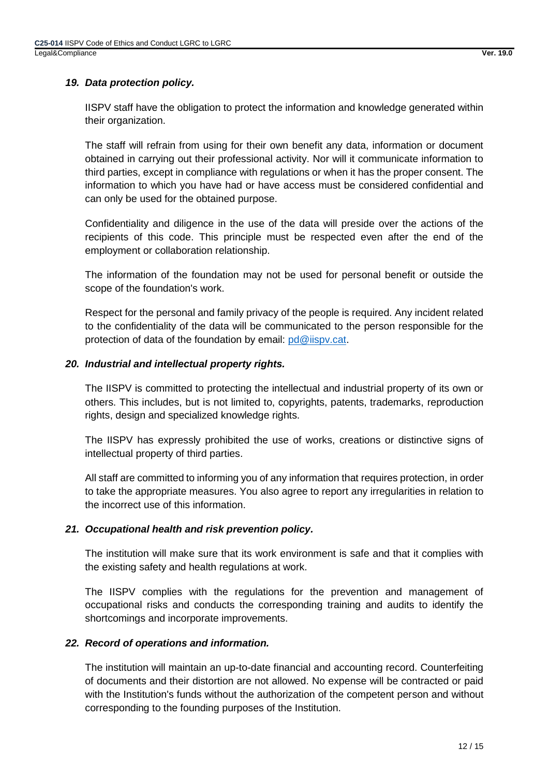# *19. Data protection policy.*

IISPV staff have the obligation to protect the information and knowledge generated within their organization.

The staff will refrain from using for their own benefit any data, information or document obtained in carrying out their professional activity. Nor will it communicate information to third parties, except in compliance with regulations or when it has the proper consent. The information to which you have had or have access must be considered confidential and can only be used for the obtained purpose.

Confidentiality and diligence in the use of the data will preside over the actions of the recipients of this code. This principle must be respected even after the end of the employment or collaboration relationship.

The information of the foundation may not be used for personal benefit or outside the scope of the foundation's work.

Respect for the personal and family privacy of the people is required. Any incident related to the confidentiality of the data will be communicated to the person responsible for the protection of data of the foundation by email: [pd@iispv.cat.](mailto:pd@iispv.cat)

# *20. Industrial and intellectual property rights.*

The IISPV is committed to protecting the intellectual and industrial property of its own or others. This includes, but is not limited to, copyrights, patents, trademarks, reproduction rights, design and specialized knowledge rights.

The IISPV has expressly prohibited the use of works, creations or distinctive signs of intellectual property of third parties.

All staff are committed to informing you of any information that requires protection, in order to take the appropriate measures. You also agree to report any irregularities in relation to the incorrect use of this information.

# *21. Occupational health and risk prevention policy.*

The institution will make sure that its work environment is safe and that it complies with the existing safety and health regulations at work.

The IISPV complies with the regulations for the prevention and management of occupational risks and conducts the corresponding training and audits to identify the shortcomings and incorporate improvements.

# *22. Record of operations and information.*

The institution will maintain an up-to-date financial and accounting record. Counterfeiting of documents and their distortion are not allowed. No expense will be contracted or paid with the Institution's funds without the authorization of the competent person and without corresponding to the founding purposes of the Institution.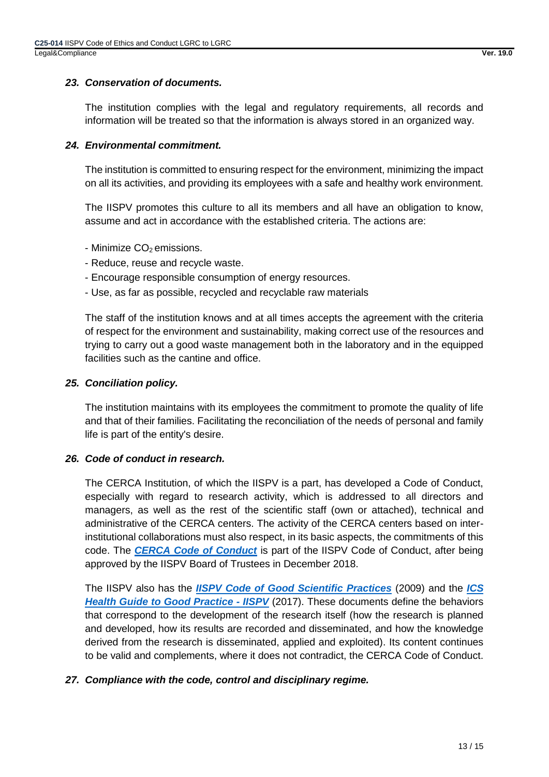# *23. Conservation of documents.*

The institution complies with the legal and regulatory requirements, all records and information will be treated so that the information is always stored in an organized way.

#### *24. Environmental commitment.*

The institution is committed to ensuring respect for the environment, minimizing the impact on all its activities, and providing its employees with a safe and healthy work environment.

The IISPV promotes this culture to all its members and all have an obligation to know, assume and act in accordance with the established criteria. The actions are:

- Minimize CO<sub>2</sub> emissions.
- Reduce, reuse and recycle waste.
- Encourage responsible consumption of energy resources.
- Use, as far as possible, recycled and recyclable raw materials

The staff of the institution knows and at all times accepts the agreement with the criteria of respect for the environment and sustainability, making correct use of the resources and trying to carry out a good waste management both in the laboratory and in the equipped facilities such as the cantine and office.

#### *25. Conciliation policy.*

The institution maintains with its employees the commitment to promote the quality of life and that of their families. Facilitating the reconciliation of the needs of personal and family life is part of the entity's desire.

#### *26. Code of conduct in research.*

The CERCA Institution, of which the IISPV is a part, has developed a Code of Conduct, especially with regard to research activity, which is addressed to all directors and managers, as well as the rest of the scientific staff (own or attached), technical and administrative of the CERCA centers. The activity of the CERCA centers based on interinstitutional collaborations must also respect, in its basic aspects, the commitments of this code. The *[CERCA Code of Conduct](http://www.iispv.cat/media/upload/arxius/gestio_de_qualitat/Codi%20de%20conducta%20CERCA_nov2018.pdf)* is part of the IISPV Code of Conduct, after being approved by the IISPV Board of Trustees in December 2018.

The IISPV also has the *[IISPV Code of Good Scientific Practices](http://www.iispv.cat/media/upload/arxius/gestio_qualitat/Codi_bones_practiques.pdf)* (2009) and the *[ICS](http://www.iispv.cat/media/upload/arxius/gestio_qualitat_docs/Guia%20Bones%20practiques%2013_06_14%20aprovada.pdf)  [Health Guide to Good Practice -](http://www.iispv.cat/media/upload/arxius/gestio_qualitat_docs/Guia%20Bones%20practiques%2013_06_14%20aprovada.pdf) IISPV* (2017). These documents define the behaviors that correspond to the development of the research itself (how the research is planned and developed, how its results are recorded and disseminated, and how the knowledge derived from the research is disseminated, applied and exploited). Its content continues to be valid and complements, where it does not contradict, the CERCA Code of Conduct.

#### *27. Compliance with the code, control and disciplinary regime.*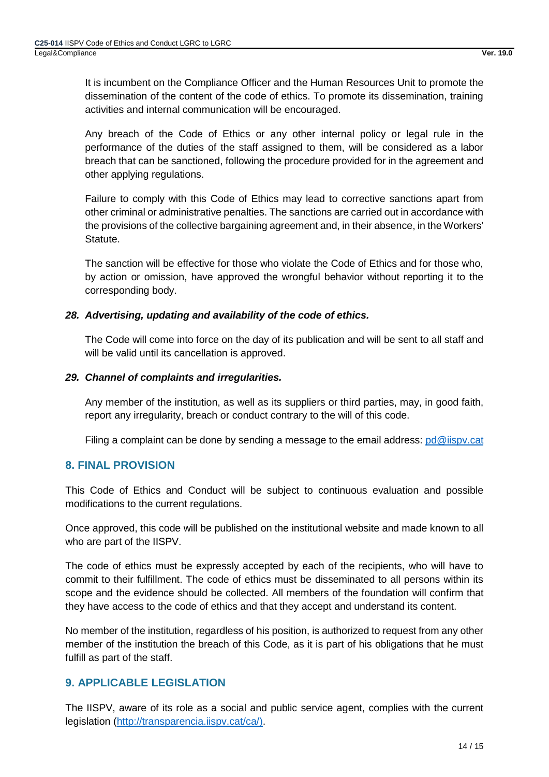It is incumbent on the Compliance Officer and the Human Resources Unit to promote the dissemination of the content of the code of ethics. To promote its dissemination, training activities and internal communication will be encouraged.

Any breach of the Code of Ethics or any other internal policy or legal rule in the performance of the duties of the staff assigned to them, will be considered as a labor breach that can be sanctioned, following the procedure provided for in the agreement and other applying regulations.

Failure to comply with this Code of Ethics may lead to corrective sanctions apart from other criminal or administrative penalties. The sanctions are carried out in accordance with the provisions of the collective bargaining agreement and, in their absence, in the Workers' Statute.

The sanction will be effective for those who violate the Code of Ethics and for those who, by action or omission, have approved the wrongful behavior without reporting it to the corresponding body.

# *28. Advertising, updating and availability of the code of ethics.*

The Code will come into force on the day of its publication and will be sent to all staff and will be valid until its cancellation is approved.

#### *29. Channel of complaints and irregularities.*

Any member of the institution, as well as its suppliers or third parties, may, in good faith, report any irregularity, breach or conduct contrary to the will of this code.

Filing a complaint can be done by sending a message to the email address: [pd@iispv.cat](mailto:pd@iispv.cat)

# <span id="page-13-0"></span>**8. FINAL PROVISION**

This Code of Ethics and Conduct will be subject to continuous evaluation and possible modifications to the current regulations.

Once approved, this code will be published on the institutional website and made known to all who are part of the IISPV.

The code of ethics must be expressly accepted by each of the recipients, who will have to commit to their fulfillment. The code of ethics must be disseminated to all persons within its scope and the evidence should be collected. All members of the foundation will confirm that they have access to the code of ethics and that they accept and understand its content.

No member of the institution, regardless of his position, is authorized to request from any other member of the institution the breach of this Code, as it is part of his obligations that he must fulfill as part of the staff.

# <span id="page-13-1"></span>**9. APPLICABLE LEGISLATION**

The IISPV, aware of its role as a social and public service agent, complies with the current legislation [\(http://transparencia.iispv.cat/ca/\)](http://transparencia.iispv.cat/ca/).